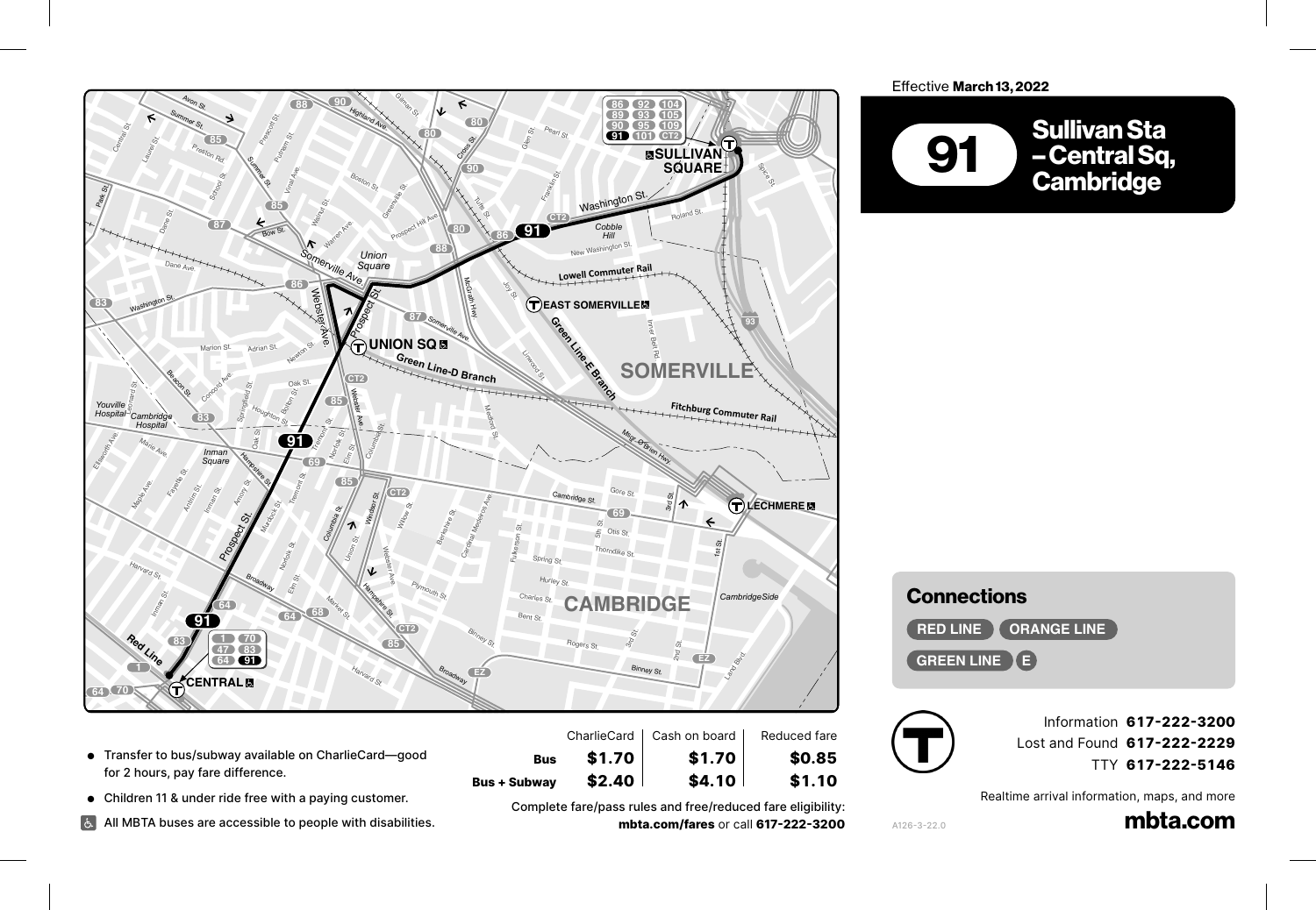

- $\bullet$  Transfer to bus/subway available on CharlieCard—good<br>for 2 hours, pay fare difference. for 2 hours, pay fare difference. **47**
- **•** Children 11 & under ride free with a paying customer.

**47**

Crocker St.

Putnam Ave.

Children 11 & under ride free with a paying customer.<br>All MBTA buses are accessible to people with disabilities.<br>-

**Subway \$2.40 \$4.10 \$1.10**<br>Complete fare/pass rules and free/reduced fare eligibility:<br>mate serve fares are all 212.229.2299 **mbta.com/fares** or call **617-222-3200**

**Bus + Subway \$2.40** | \$4.10 | \$1.10

**Bus \$1.70 \$1.70 \$0.85**

Longfellow Bridge

| <b>Connections</b>           |
|------------------------------|
| <b>RED LINE TORANGE LINE</b> |
| <b>GREEN LINE (E)</b>        |



A126-3-22.0

Myrtle St.Grove St.

Information **617-222-3200** Lost and Found **617-222-2229** TTY **617-222-5146**

Realtime arrival information, maps, and more

mbta.com

Effective March 13, 2022